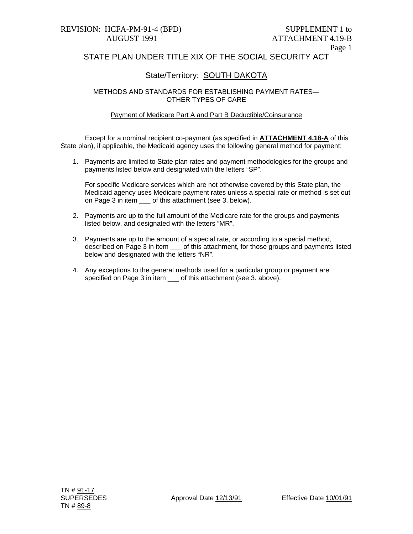## STATE PLAN UNDER TITLE XIX OF THE SOCIAL SECURITY ACT

#### State/Territory: SOUTH DAKOTA

METHODS AND STANDARDS FOR ESTABLISHING PAYMENT RATES— OTHER TYPES OF CARE

#### Payment of Medicare Part A and Part B Deductible/Coinsurance

 Except for a nominal recipient co-payment (as specified in **ATTACHMENT 4.18-A** of this State plan), if applicable, the Medicaid agency uses the following general method for payment:

1. Payments are limited to State plan rates and payment methodologies for the groups and payments listed below and designated with the letters "SP".

For specific Medicare services which are not otherwise covered by this State plan, the Medicaid agency uses Medicare payment rates unless a special rate or method is set out on Page 3 in item of this attachment (see 3. below).

- 2. Payments are up to the full amount of the Medicare rate for the groups and payments listed below, and designated with the letters "MR".
- 3. Payments are up to the amount of a special rate, or according to a special method, described on Page 3 in item \_\_\_ of this attachment, for those groups and payments listed below and designated with the letters "NR".
- 4. Any exceptions to the general methods used for a particular group or payment are specified on Page 3 in item \_\_\_ of this attachment (see 3. above).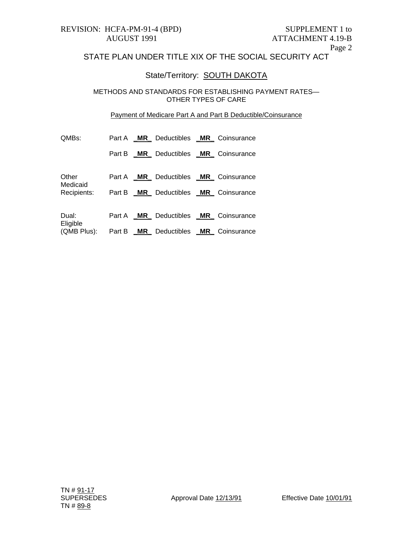# STATE PLAN UNDER TITLE XIX OF THE SOCIAL SECURITY ACT

## State/Territory: **SOUTH DAKOTA**

METHODS AND STANDARDS FOR ESTABLISHING PAYMENT RATES— OTHER TYPES OF CARE

#### Payment of Medicare Part A and Part B Deductible/Coinsurance

| QMBs:                            | Part A |     | <b>MR</b> Deductibles <b>MR</b> Coinsurance |             |
|----------------------------------|--------|-----|---------------------------------------------|-------------|
|                                  | Part B |     | <b>MR</b> Deductibles <b>MR</b> Coinsurance |             |
| Other<br>Medicaid<br>Recipients: | Part A |     | <b>MR</b> Deductibles <b>MR</b> Coinsurance |             |
|                                  | Part B |     | <b>MR</b> Deductibles <b>MR</b> Coinsurance |             |
| Dual:<br>Eligible<br>(QMB Plus): | Part A |     | <b>MR</b> Deductibles <b>MR</b> Coinsurance |             |
|                                  | Part B | MR. | Deductibles MR                              | Coinsurance |